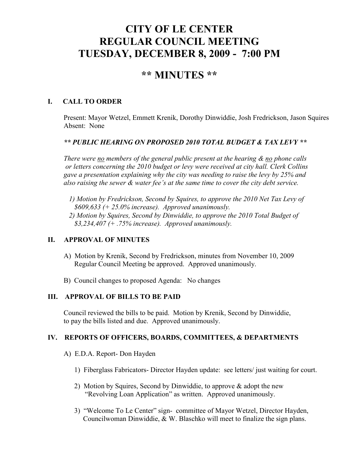# **CITY OF LE CENTER REGULAR COUNCIL MEETING TUESDAY, DECEMBER 8, 2009 - 7:00 PM**

# **\*\* MINUTES \*\***

### **I. CALL TO ORDER**

Present: Mayor Wetzel, Emmett Krenik, Dorothy Dinwiddie, Josh Fredrickson, Jason Squires Absent: None

#### *\*\* PUBLIC HEARING ON PROPOSED 2010 TOTAL BUDGET & TAX LEVY \*\**

*There were no members of the general public present at the hearing & no phone calls or letters concerning the 2010 budget or levy were received at city hall. Clerk Collins gave a presentation explaining why the city was needing to raise the levy by 25% and also raising the sewer & water fee's at the same time to cover the city debt service.* 

- *1) Motion by Fredrickson, Second by Squires, to approve the 2010 Net Tax Levy of \$609,633 (+ 25.0% increase). Approved unanimously.*
- *2) Motion by Squires, Second by Dinwiddie, to approve the 2010 Total Budget of \$3,234,407 (+ .75% increase). Approved unanimously.*

# **II. APPROVAL OF MINUTES**

- A) Motion by Krenik, Second by Fredrickson, minutes from November 10, 2009 Regular Council Meeting be approved. Approved unanimously.
- B) Council changes to proposed Agenda: No changes

#### **III. APPROVAL OF BILLS TO BE PAID**

Council reviewed the bills to be paid. Motion by Krenik, Second by Dinwiddie, to pay the bills listed and due. Approved unanimously.

#### **IV. REPORTS OF OFFICERS, BOARDS, COMMITTEES, & DEPARTMENTS**

- A) E.D.A. Report- Don Hayden
	- 1) Fiberglass Fabricators- Director Hayden update: see letters/ just waiting for court.
	- 2) Motion by Squires, Second by Dinwiddie, to approve & adopt the new "Revolving Loan Application" as written. Approved unanimously.
	- 3) "Welcome To Le Center" sign- committee of Mayor Wetzel, Director Hayden, Councilwoman Dinwiddie, & W. Blaschko will meet to finalize the sign plans.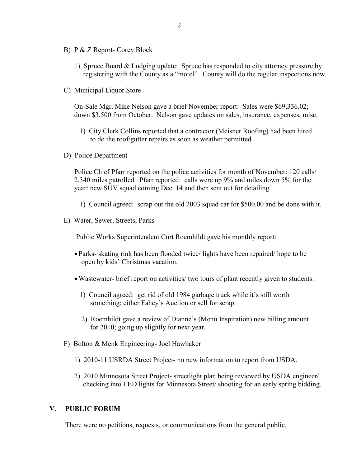- B) P & Z Report- Corey Block
	- 1) Spruce Board & Lodging update: Spruce has responded to city attorney pressure by registering with the County as a "motel". County will do the regular inspections now.
- C) Municipal Liquor Store

On-Sale Mgr. Mike Nelson gave a brief November report: Sales were \$69,336.02; down \$3,500 from October. Nelson gave updates on sales, insurance, expenses, misc.

- 1) City Clerk Collins reported that a contractor (Meisner Roofing) had been hired to do the roof/gutter repairs as soon as weather permitted.
- D) Police Department

Police Chief Pfarr reported on the police activities for month of November: 120 calls/ 2,340 miles patrolled. Pfarr reported: calls were up 9% and miles down 5% for the year/ new SUV squad coming Dec. 14 and then sent out for detailing.

- 1) Council agreed: scrap out the old 2003 squad car for \$500.00 and be done with it.
- E) Water, Sewer, Streets, Parks

Public Works Superintendent Curt Roemhildt gave his monthly report:

- Parks- skating rink has been flooded twice/ lights have been repaired/ hope to be open by kids' Christmas vacation.
- •Wastewater- brief report on activities/ two tours of plant recently given to students.
	- 1) Council agreed: get rid of old 1984 garbage truck while it's still worth something; either Fahey's Auction or sell for scrap.
	- 2) Roemhildt gave a review of Dianne's (Menu Inspiration) new billing amount for 2010; going up slightly for next year.
- F) Bolton & Menk Engineering- Joel Hawbaker
	- 1) 2010-11 USRDA Street Project- no new information to report from USDA.
	- 2) 2010 Minnesota Street Project- streetlight plan being reviewed by USDA engineer/ checking into LED lights for Minnesota Street/ shooting for an early spring bidding.

#### **V. PUBLIC FORUM**

There were no petitions, requests, or communications from the general public.